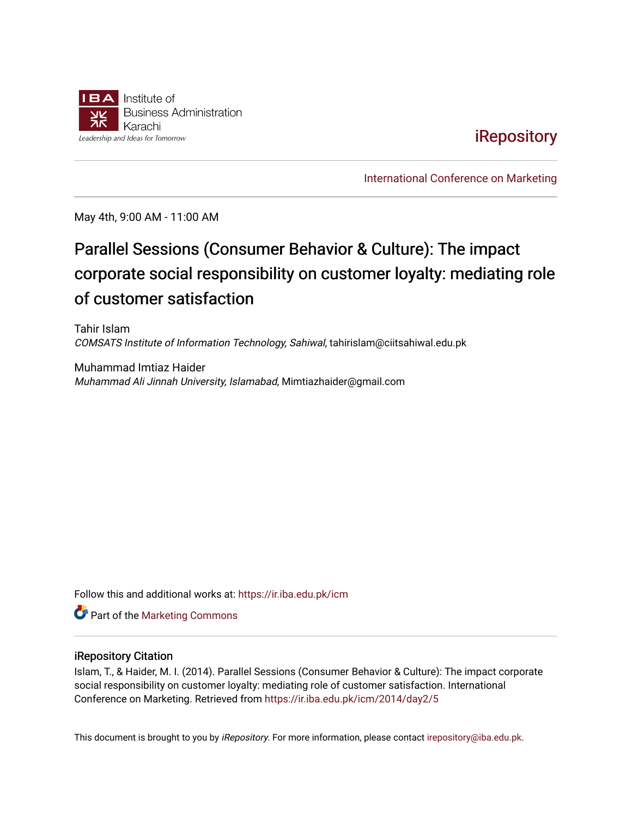

# **iRepository**

[International Conference on Marketing](https://ir.iba.edu.pk/icm) 

May 4th, 9:00 AM - 11:00 AM

# Parallel Sessions (Consumer Behavior & Culture): The impact corporate social responsibility on customer loyalty: mediating role of customer satisfaction

Tahir Islam COMSATS Institute of Information Technology, Sahiwal, tahirislam@ciitsahiwal.edu.pk

Muhammad Imtiaz Haider Muhammad Ali Jinnah University, Islamabad, Mimtiazhaider@gmail.com

Follow this and additional works at: [https://ir.iba.edu.pk/icm](https://ir.iba.edu.pk/icm?utm_source=ir.iba.edu.pk%2Ficm%2F2014%2Fday2%2F5&utm_medium=PDF&utm_campaign=PDFCoverPages) 

**Part of the [Marketing Commons](http://network.bepress.com/hgg/discipline/638?utm_source=ir.iba.edu.pk%2Ficm%2F2014%2Fday2%2F5&utm_medium=PDF&utm_campaign=PDFCoverPages)** 

#### iRepository Citation

Islam, T., & Haider, M. I. (2014). Parallel Sessions (Consumer Behavior & Culture): The impact corporate social responsibility on customer loyalty: mediating role of customer satisfaction. International Conference on Marketing. Retrieved from [https://ir.iba.edu.pk/icm/2014/day2/5](https://ir.iba.edu.pk/icm/2014/day2/5?utm_source=ir.iba.edu.pk%2Ficm%2F2014%2Fday2%2F5&utm_medium=PDF&utm_campaign=PDFCoverPages)

This document is brought to you by iRepository. For more information, please contact [irepository@iba.edu.pk](mailto:irepository@iba.edu.pk).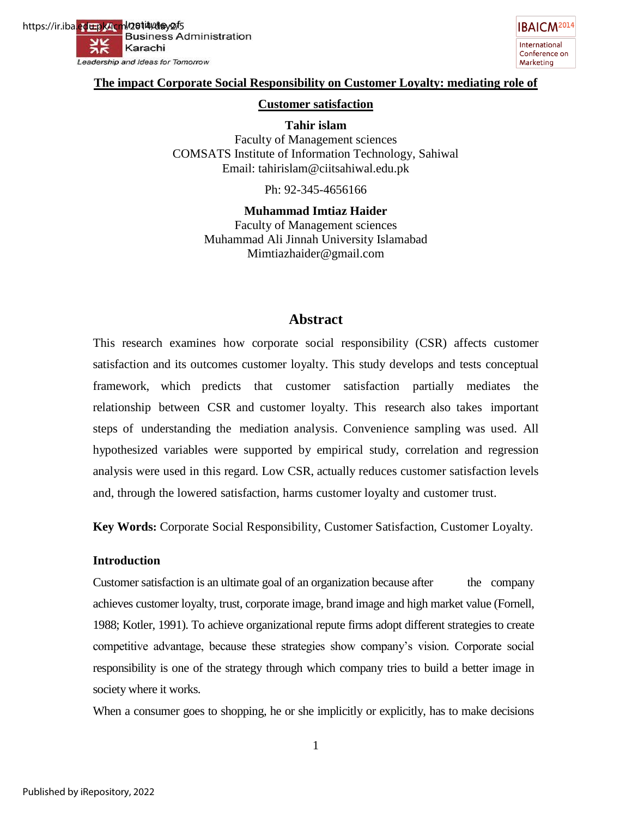https://ir.iba.<mark>ed<del>u.p</del>k/icm</mark>l/2**014/da**y2/5<br>Business Administration Karachi Яκ Leadership and Ideas for Tomorrow



#### **The impact Corporate Social Responsibility on Customer Loyalty: mediating role of**

#### **Customer satisfaction**

**Tahir islam**  Faculty of Management sciences COMSATS Institute of Information Technology, Sahiwal Email: [tahirislam@ciitsahiwal.edu.pk](mailto:tahirislam@ciitsahiwal.edu.pk)

Ph: 92-345-4656166

**Muhammad Imtiaz Haider**  Faculty of Management sciences Muhammad Ali Jinnah University Islamabad [Mimtiazhaider@gmail.com](mailto:Tahirislam@ciitsahiwal.edu.pk)

# **Abstract**

This research examines how corporate social responsibility (CSR) affects customer satisfaction and its outcomes customer loyalty. This study develops and tests conceptual framework, which predicts that customer satisfaction partially mediates the relationship between CSR and customer loyalty. This research also takes important steps of understanding the mediation analysis. Convenience sampling was used. All hypothesized variables were supported by empirical study, correlation and regression analysis were used in this regard. Low CSR, actually reduces customer satisfaction levels and, through the lowered satisfaction, harms customer loyalty and customer trust.

**Key Words:** Corporate Social Responsibility, Customer Satisfaction, Customer Loyalty.

#### **Introduction**

Customer satisfaction is an ultimate goal of an organization because after the company achieves customer loyalty, trust, corporate image, brand image and high market value (Fornell, 1988; Kotler, 1991). To achieve organizational repute firms adopt different strategies to create competitive advantage, because these strategies show company's vision. Corporate social responsibility is one of the strategy through which company tries to build a better image in society where it works.

When a consumer goes to shopping, he or she implicitly or explicitly, has to make decisions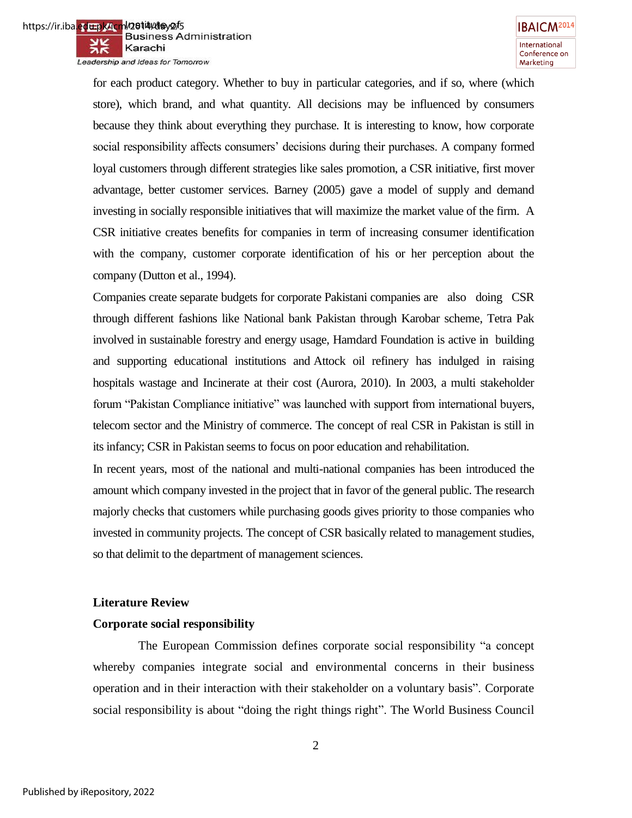for each product category. Whether to buy in particular categories, and if so, where (which store), which brand, and what quantity. All decisions may be influenced by consumers because they think about everything they purchase. It is interesting to know, how corporate social responsibility affects consumers' decisions during their purchases. A company formed loyal customers through different strategies like sales promotion, a CSR initiative, first mover advantage, better customer services. Barney (2005) gave a model of supply and demand investing in socially responsible initiatives that will maximize the market value of the firm. A CSR initiative creates benefits for companies in term of increasing consumer identification with the company, customer corporate identification of his or her perception about the company (Dutton et al., 1994).

Companies create separate budgets for corporate Pakistani companies are also doing CSR through different fashions like National bank Pakistan through Karobar scheme, Tetra Pak involved in sustainable forestry and energy usage, Hamdard Foundation is active in building and supporting educational institutions and Attock oil refinery has indulged in raising hospitals wastage and Incinerate at their cost (Aurora, 2010). In 2003, a multi stakeholder forum "Pakistan Compliance initiative" was launched with support from international buyers, telecom sector and the Ministry of commerce. The concept of real CSR in Pakistan is still in its infancy; CSR in Pakistan seems to focus on poor education and rehabilitation.

In recent years, most of the national and multi-national companies has been introduced the amount which company invested in the project that in favor of the general public. The research majorly checks that customers while purchasing goods gives priority to those companies who invested in community projects. The concept of CSR basically related to management studies, so that delimit to the department of management sciences.

# **Literature Review**

# **Corporate social responsibility**

The European Commission defines corporate social responsibility "a concept" whereby companies integrate social and environmental concerns in their business operation and in their interaction with their stakeholder on a voluntary basis". Corporate social responsibility is about "doing the right things right". The World Business Council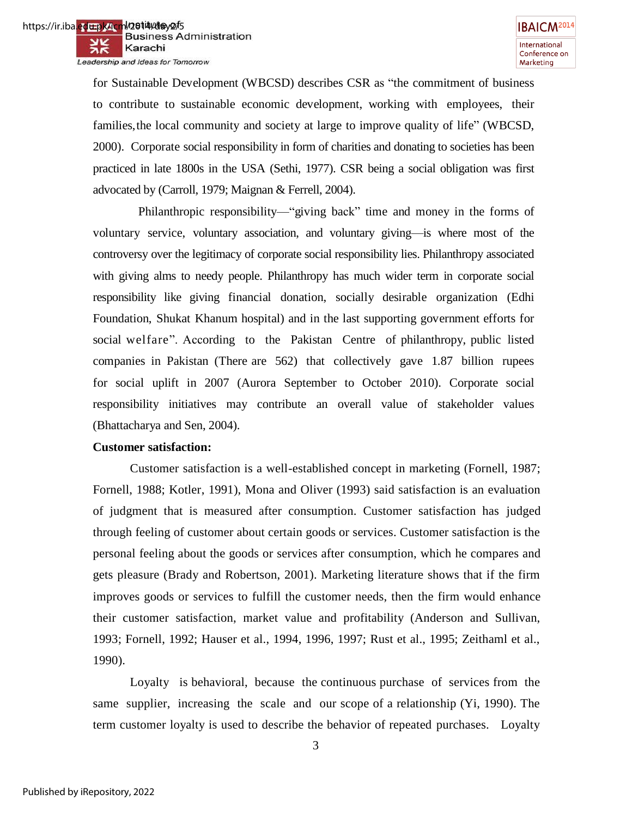for Sustainable Development (WBCSD) describes CSR as "the commitment of business to contribute to sustainable economic development, working with employees, their families, the local community and society at large to improve quality of life" (WBCSD, 2000). Corporate social responsibility in form of charities and donating to societies has been practiced in late 1800s in the USA (Sethi, 1977). CSR being a social obligation was first advocated by (Carroll, 1979; Maignan & Ferrell, 2004).

Philanthropic responsibility—"giving back" time and money in the forms of voluntary service, voluntary association, and voluntary giving—is where most of the controversy over the legitimacy of corporate social responsibility lies. Philanthropy associated with giving alms to needy people. Philanthropy has much wider term in corporate social responsibility like giving financial donation, socially desirable organization (Edhi Foundation, Shukat Khanum hospital) and in the last supporting government efforts for social welfare". According to the Pakistan Centre of philanthropy, public listed companies in Pakistan (There are 562) that collectively gave 1.87 billion rupees for social uplift in 2007 (Aurora September to October 2010). Corporate social responsibility initiatives may contribute an overall value of stakeholder values (Bhattacharya and Sen, 2004).

#### **Customer satisfaction:**

Customer satisfaction is a well-established concept in marketing (Fornell, 1987; Fornell, 1988; Kotler, 1991), Mona and Oliver (1993) said satisfaction is an evaluation of judgment that is measured after consumption. Customer satisfaction has judged through feeling of customer about certain goods or services. Customer satisfaction is the personal feeling about the goods or services after consumption, which he compares and gets pleasure (Brady and Robertson, 2001). Marketing literature shows that if the firm improves goods or services to fulfill the customer needs, then the firm would enhance their customer satisfaction, market value and profitability (Anderson and Sullivan, 1993; Fornell, 1992; Hauser et al., 1994, 1996, 1997; Rust et al., 1995; Zeithaml et al., 1990).

Loyalty is behavioral, because the continuous purchase of services from the same supplier, increasing the scale and our scope of a relationship (Yi, 1990). The term customer loyalty is used to describe the behavior of repeated purchases. Loyalty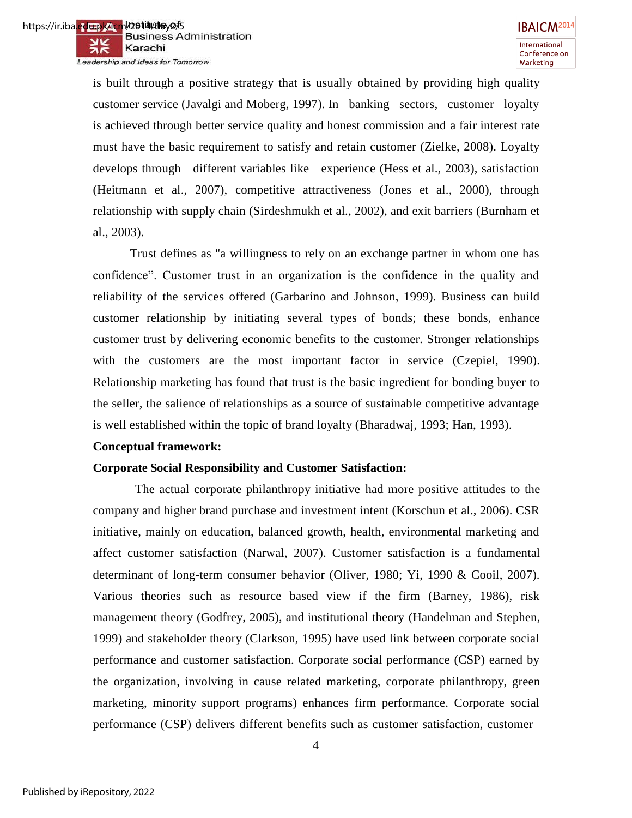is built through a positive strategy that is usually obtained by providing high quality customer service (Javalgi and Moberg, 1997). In banking sectors, customer loyalty is achieved through better service quality and honest commission and a fair interest rate must have the basic requirement to satisfy and retain customer (Zielke, 2008). Loyalty develops through different variables like experience (Hess et al., 2003), satisfaction (Heitmann et al., 2007), competitive attractiveness (Jones et al., 2000), through relationship with supply chain (Sirdeshmukh et al., 2002), and exit barriers (Burnham et al., 2003).

Trust defines as "a willingness to rely on an exchange partner in whom one has confidence‖. Customer trust in an organization is the confidence in the quality and reliability of the services offered (Garbarino and Johnson, 1999). Business can build customer relationship by initiating several types of bonds; these bonds, enhance customer trust by delivering economic benefits to the customer. Stronger relationships with the customers are the most important factor in service (Czepiel, 1990). Relationship marketing has found that trust is the basic ingredient for bonding buyer to the seller, the salience of relationships as a source of sustainable competitive advantage is well established within the topic of brand loyalty (Bharadwaj, 1993; Han, 1993).

#### **Conceptual framework:**

# **Corporate Social Responsibility and Customer Satisfaction:**

 The actual corporate philanthropy initiative had more positive attitudes to the company and higher brand purchase and investment intent (Korschun et al., 2006). CSR initiative, mainly on education, balanced growth, health, environmental marketing and affect customer satisfaction (Narwal, 2007). Customer satisfaction is a fundamental determinant of long-term consumer behavior (Oliver, 1980; Yi, 1990 & Cooil, 2007). Various theories such as resource based view if the firm (Barney, 1986), risk management theory (Godfrey, 2005), and institutional theory (Handelman and Stephen, 1999) and stakeholder theory (Clarkson, 1995) have used link between corporate social performance and customer satisfaction. Corporate social performance (CSP) earned by the organization, involving in cause related marketing, corporate philanthropy, green marketing, minority support programs) enhances firm performance. Corporate social performance (CSP) delivers different benefits such as customer satisfaction, customer–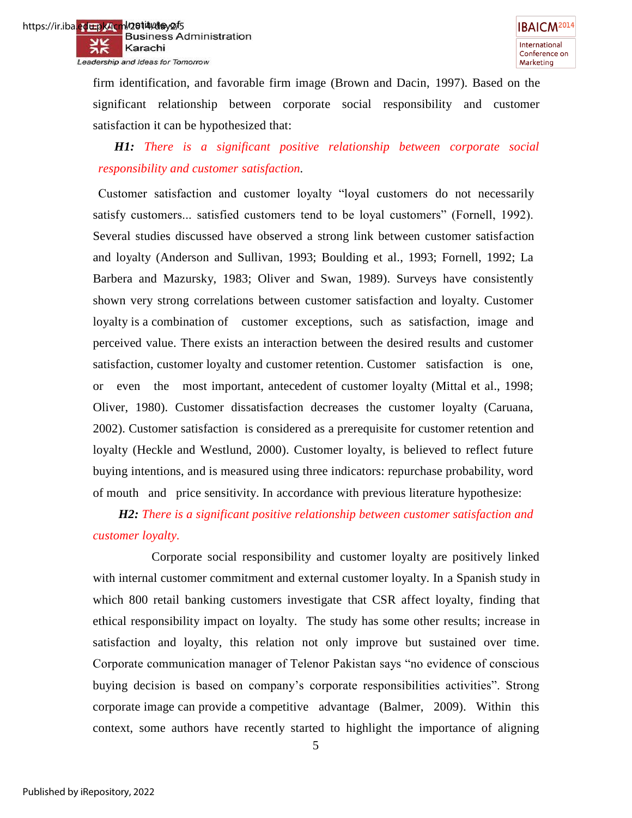firm identification, and favorable firm image (Brown and Dacin, 1997). Based on the significant relationship between corporate social responsibility and customer satisfaction it can be hypothesized that:

# *H1: There is a significant positive relationship between corporate social responsibility and customer satisfaction.*

Customer satisfaction and customer loyalty "loyal customers do not necessarily satisfy customers... satisfied customers tend to be loyal customers" (Fornell, 1992). Several studies discussed have observed a strong link between customer satisfaction and loyalty (Anderson and Sullivan, 1993; Boulding et al., 1993; Fornell, 1992; La Barbera and Mazursky, 1983; Oliver and Swan, 1989). Surveys have consistently shown very strong correlations between customer satisfaction and loyalty. Customer loyalty is a combination of customer exceptions, such as satisfaction, image and perceived value. There exists an interaction between the desired results and customer satisfaction, customer loyalty and customer retention. Customer satisfaction is one, or even the most important, antecedent of customer loyalty (Mittal et al., 1998; Oliver, 1980). Customer dissatisfaction decreases the customer loyalty (Caruana, 2002). Customer satisfaction is considered as a prerequisite for customer retention and loyalty (Heckle and Westlund, 2000). Customer loyalty, is believed to reflect future buying intentions, and is measured using three indicators: repurchase probability, word of mouth and price sensitivity. In accordance with previous literature hypothesize:

# *H2: There is a significant positive relationship between customer satisfaction and customer loyalty.*

 Corporate social responsibility and customer loyalty are positively linked with internal customer commitment and external customer loyalty. In a Spanish study in which 800 retail banking customers investigate that CSR affect loyalty, finding that ethical responsibility impact on loyalty. The study has some other results; increase in satisfaction and loyalty, this relation not only improve but sustained over time. Corporate communication manager of Telenor Pakistan says "no evidence of conscious buying decision is based on company's corporate responsibilities activities". Strong corporate image can provide a competitive advantage (Balmer, 2009). Within this context, some authors have recently started to highlight the importance of aligning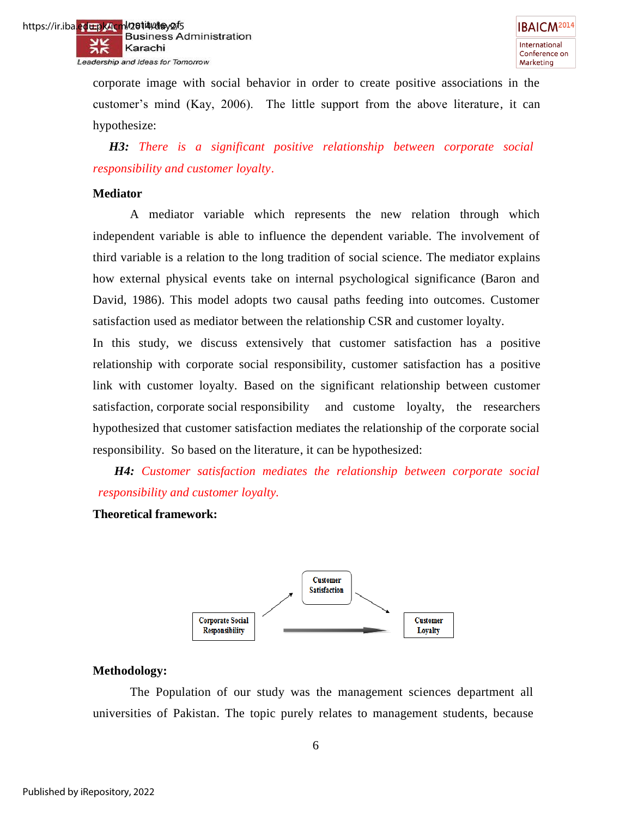

corporate image with social behavior in order to create positive associations in the customer's mind (Kay, 2006). The little support from the above literature, it can hypothesize:

 *H3: There is a significant positive relationship between corporate social responsibility and customer loyalty*.

#### **Mediator**

A mediator variable which represents the new relation through which independent variable is able to influence the dependent variable. The involvement of third variable is a relation to the long tradition of social science. The mediator explains how external physical events take on internal psychological significance (Baron and David, 1986). This model adopts two causal paths feeding into outcomes. Customer satisfaction used as mediator between the relationship CSR and customer loyalty.

In this study, we discuss extensively that customer satisfaction has a positive relationship with corporate social responsibility, customer satisfaction has a positive link with customer loyalty. Based on the significant relationship between customer satisfaction, corporate social responsibility and custome loyalty, the researchers hypothesized that customer satisfaction mediates the relationship of the corporate social responsibility. So based on the literature, it can be hypothesized:

 *H4: Customer satisfaction mediates the relationship between corporate social responsibility and customer loyalty.*

#### **Theoretical framework:**



#### **Methodology:**

The Population of our study was the management sciences department all universities of Pakistan. The topic purely relates to management students, because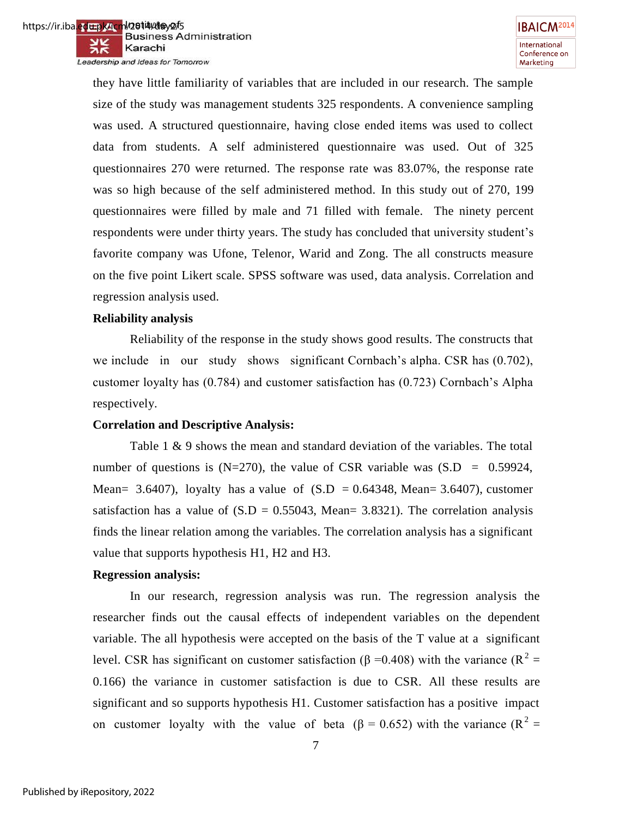they have little familiarity of variables that are included in our research. The sample size of the study was management students 325 respondents. A convenience sampling was used. A structured questionnaire, having close ended items was used to collect data from students. A self administered questionnaire was used. Out of 325 questionnaires 270 were returned. The response rate was 83.07%, the response rate was so high because of the self administered method. In this study out of 270, 199 questionnaires were filled by male and 71 filled with female. The ninety percent respondents were under thirty years. The study has concluded that university student's favorite company was Ufone, Telenor, Warid and Zong. The all constructs measure on the five point Likert scale. SPSS software was used, data analysis. Correlation and regression analysis used.

#### **Reliability analysis**

Reliability of the response in the study shows good results. The constructs that we include in our study shows significant Cornbach's alpha. CSR has (0.702), customer loyalty has (0.784) and customer satisfaction has (0.723) Cornbach's Alpha respectively.

# **Correlation and Descriptive Analysis:**

Table 1 & 9 shows the mean and standard deviation of the variables. The total number of questions is  $(N=270)$ , the value of CSR variable was  $(S.D = 0.59924)$ , Mean= 3.6407), loyalty has a value of  $(S.D = 0.64348, Mean= 3.6407)$ , customer satisfaction has a value of  $(S.D = 0.55043, Mean = 3.8321)$ . The correlation analysis finds the linear relation among the variables. The correlation analysis has a significant value that supports hypothesis H1, H2 and H3.

#### **Regression analysis:**

In our research, regression analysis was run. The regression analysis the researcher finds out the causal effects of independent variables on the dependent variable. The all hypothesis were accepted on the basis of the T value at a significant level. CSR has significant on customer satisfaction (β = 0.408) with the variance (R<sup>2</sup> = 0.166) the variance in customer satisfaction is due to CSR. All these results are significant and so supports hypothesis H1. Customer satisfaction has a positive impact on customer loyalty with the value of beta ( $\beta = 0.652$ ) with the variance ( $R^2 =$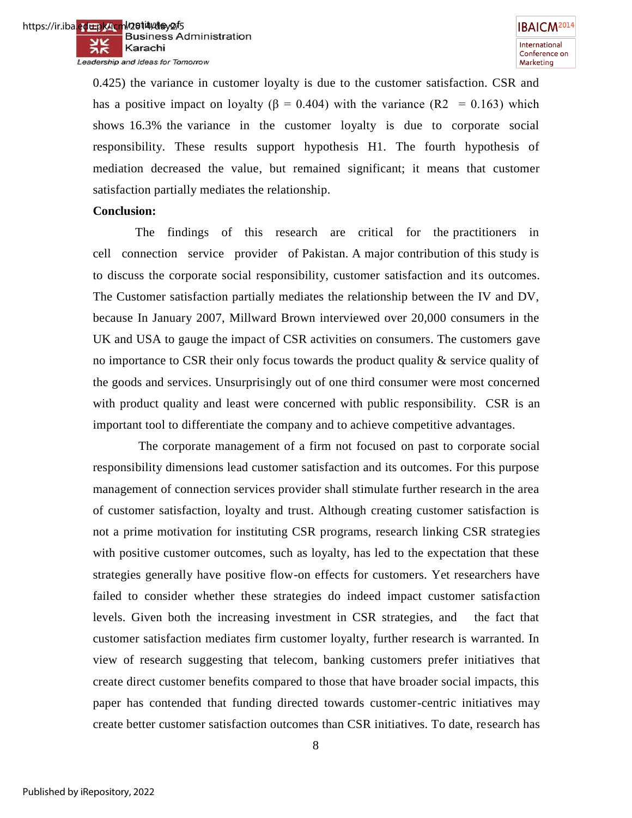0.425) the variance in customer loyalty is due to the customer satisfaction. CSR and has a positive impact on loyalty ( $\beta = 0.404$ ) with the variance (R2 = 0.163) which shows 16.3% the variance in the customer loyalty is due to corporate social responsibility. These results support hypothesis H1. The fourth hypothesis of mediation decreased the value, but remained significant; it means that customer satisfaction partially mediates the relationship.

#### **Conclusion:**

 The findings of this research are critical for the practitioners in cell connection service provider of Pakistan. A major contribution of this study is to discuss the corporate social responsibility, customer satisfaction and its outcomes. The Customer satisfaction partially mediates the relationship between the IV and DV, because In January 2007, Millward Brown interviewed over 20,000 consumers in the UK and USA to gauge the impact of CSR activities on consumers. The customers gave no importance to CSR their only focus towards the product quality & service quality of the goods and services. Unsurprisingly out of one third consumer were most concerned with product quality and least were concerned with public responsibility. CSR is an important tool to differentiate the company and to achieve competitive advantages.

 The corporate management of a firm not focused on past to corporate social responsibility dimensions lead customer satisfaction and its outcomes. For this purpose management of connection services provider shall stimulate further research in the area of customer satisfaction, loyalty and trust. Although creating customer satisfaction is not a prime motivation for instituting CSR programs, research linking CSR strategies with positive customer outcomes, such as loyalty, has led to the expectation that these strategies generally have positive flow-on effects for customers. Yet researchers have failed to consider whether these strategies do indeed impact customer satisfaction levels. Given both the increasing investment in CSR strategies, and the fact that customer satisfaction mediates firm customer loyalty, further research is warranted. In view of research suggesting that telecom, banking customers prefer initiatives that create direct customer benefits compared to those that have broader social impacts, this paper has contended that funding directed towards customer-centric initiatives may create better customer satisfaction outcomes than CSR initiatives. To date, research has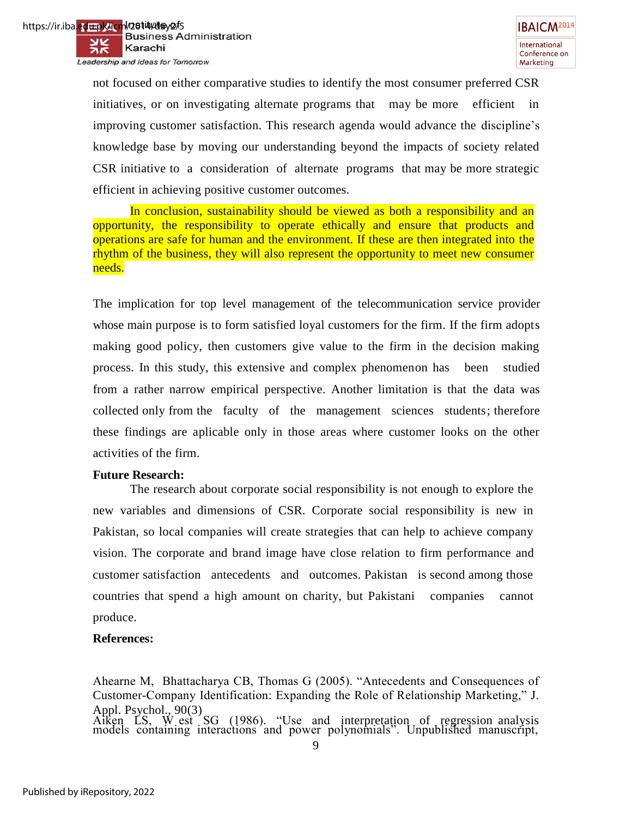not focused on either comparative studies to identify the most consumer preferred CSR initiatives, or on investigating alternate programs that may be more efficient in improving customer satisfaction. This research agenda would advance the discipline's knowledge base by moving our understanding beyond the impacts of society related CSR initiative to a consideration of alternate programs that may be more strategic efficient in achieving positive customer outcomes.

In conclusion, sustainability should be viewed as both a responsibility and an opportunity, the responsibility to operate ethically and ensure that products and operations are safe for human and the environment. If these are then integrated into the rhythm of the business, they will also represent the opportunity to meet new consumer needs.

The implication for top level management of the telecommunication service provider whose main purpose is to form satisfied loyal customers for the firm. If the firm adopts making good policy, then customers give value to the firm in the decision making process. In this study, this extensive and complex phenomenon has been studied from a rather narrow empirical perspective. Another limitation is that the data was collected only from the faculty of the management sciences students; therefore these findings are aplicable only in those areas where customer looks on the other activities of the firm.

# **Future Research:**

The research about corporate social responsibility is not enough to explore the new variables and dimensions of CSR. Corporate social responsibility is new in Pakistan, so local companies will create strategies that can help to achieve company vision. The corporate and brand image have close relation to firm performance and customer satisfaction antecedents and outcomes. Pakistan is second among those countries that spend a high amount on charity, but Pakistani companies cannot produce.

# **References:**

Ahearne M, Bhattacharya CB, Thomas G (2005). "Antecedents and Consequences of Customer-Company Identification: Expanding the Role of Relationship Marketing," J. Appl. Psychol., 90(3)

Aiken LS, W est  $SG$  (1986). "Use and interpretation of regression analysis models containing interactions and power polynomials. Unpublished manuscript,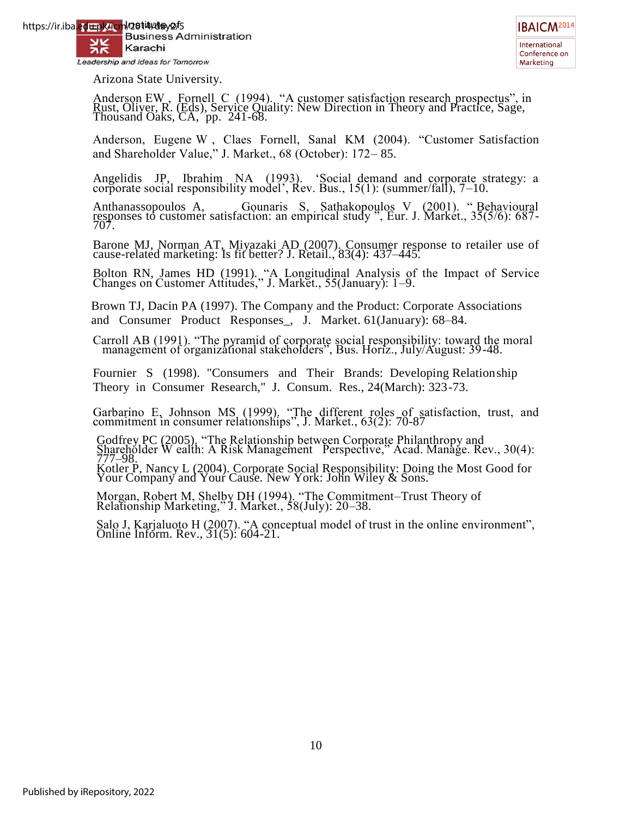

Arizona State University.

Anderson EW, Fornell C (1994). "A customer satisfaction research prospectus", in Rust, Oliver, R. (Eds), Service Quality: New Direction in Theory and Practice, Sage, Thousand Oaks, CA, pp. 241-68.

Anderson, Eugene W, Claes Fornell, Sanal KM (2004). "Customer Satisfaction and Shareholder Value," J. Market., 68 (October): 172–85.

Angelidis JP, Ibrahim NA (1993). 'Social demand and corporate strategy: a corporate social responsibility model', Rev. Bus., 15(1): (summer/fall), 7–10.

Anthanassopoulos A, Gounaris S, Sathakopoulos V (2001). "Behavioural responses to customer satisfaction: an empirical study ", Eur. J. Market., 35(5/6): 687-707.

Barone MJ, Norman AT, Miyazaki AD (2007). Consumer response to retailer use of cause-related marketing: Is fit better? J. Retail., 83(4): 437–445.

Bolton RN, James HD (1991). "A Longitudinal Analysis of the Impact of Service Changes on Customer Attitudes," J. Market., 55(January): 1–9.

Brown TJ, Dacin PA (1997). The Company and the Product: Corporate Associations and Consumer Product Responses\_, J. Market. 61(January): 68–84.

Carroll AB (1991). "The pyramid of corporate social responsibility: toward the moral management of organizational stakeholders", Bus. Horiz., July/August: 39-48.

Fournier S (1998). "Consumers and Their Brands: Developing Relationship Theory in Consumer Research," J. Consum. Res., 24(March): 323-73.

Garbarino E, Johnson MS (1999). "The different roles of satisfaction, trust, and commitment in consumer relationships", J. Market., 63(2): 70-87

Godfrey PC (2005). "The Relationship between Corporate Philanthropy and  $\frac{\text{Sharicholder W call}}{\text{Gharichlet W call}}$ . A Risk Management Perspective," Acad. Manage. Rev., 30(4): 777–98. Kotler P, Nancy L (2004). Corporate Social Responsibility: Doing the Most Good for Your Company and Your Cause. New York: John Wiley & Sons.

Morgan, Robert M, Shelby DH (1994). "The Commitment–Trust Theory of Relationship Marketing," J. Market., 58(July): 20–38.

Salo J, Karjaluoto H  $(2007)$ . "A conceptual model of trust in the online environment", Online Inform. Rev., 31(5): 604-21.